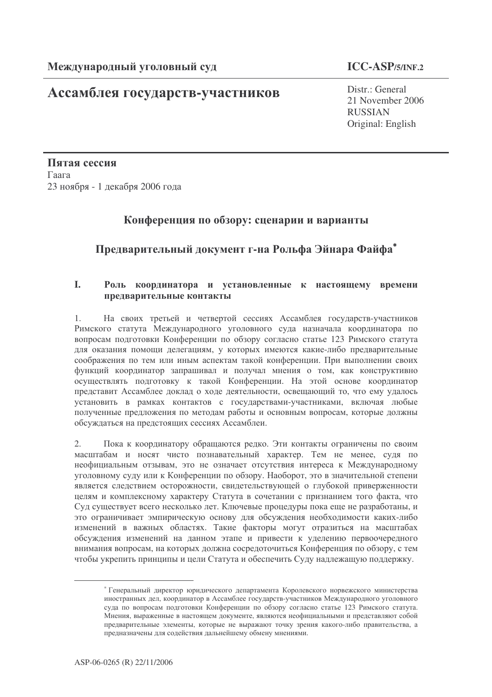# Ассамблея государств-участников

Distr.: General 21 November 2006 **RUSSIAN** Original: English

Пятая сессия Гаага 23 ноября - 1 декабря 2006 года

## Конференция по обзору: сценарии и варианты

## Предварительный документ г-на Рольфа Эйнара Файфа\*

### Роль координатора и установленные к настоящему времени  $\mathbf{L}$ предварительные контакты

На своих третьей и четвертой сессиях Ассамблея государств-участников  $1<sub>1</sub>$ Римского статута Международного уголовного суда назначала координатора по вопросам подготовки Конференции по обзору согласно статье 123 Римского статута для оказания помощи делегациям, у которых имеются какие-либо предварительные соображения по тем или иным аспектам такой конференции. При выполнении своих функций координатор запрашивал и получал мнения о том, как конструктивно осуществлять подготовку к такой Конференции. На этой основе координатор представит Ассамблее доклад о ходе деятельности, освещающий то, что ему удалось установить в рамках контактов с государствами-участниками, включая любые полученные предложения по методам работы и основным вопросам, которые должны обсуждаться на предстоящих сессиях Ассамблеи.

 $2.$ Пока к координатору обращаются редко. Эти контакты ограничены по своим масштабам и носят чисто познавательный характер. Тем не менее, судя по неофициальным отзывам, это не означает отсутствия интереса к Международному уголовному суду или к Конференции по обзору. Наоборот, это в значительной степени является следствием осторожности, свидетельствующей о глубокой приверженности целям и комплексному характеру Статута в сочетании с признанием того факта, что Суд существует всего несколько лет. Ключевые процедуры пока еще не разработаны, и это ограничивает эмпирическую основу для обсуждения необходимости каких-либо изменений в важных областях. Такие факторы могут отразиться на масштабах обсуждения изменений на данном этапе и привести к уделению первоочередного внимания вопросам, на которых должна сосредоточиться Конференция по обзору, с тем чтобы укрепить принципы и цели Статута и обеспечить Суду надлежащую поддержку.

<sup>\*</sup> Генеральный директор юридического департамента Королевского норвежского министерства иностранных дел, координатор в Ассамблее государств-участников Международного уголовного суда по вопросам подготовки Конференции по обзору согласно статье 123 Римского статута. Мнения, выраженные в настоящем документе, являются неофициальными и представляют собой предварительные элементы, которые не выражают точку зрения какого-либо правительства, а предназначены для содействия дальнейшему обмену мнениями.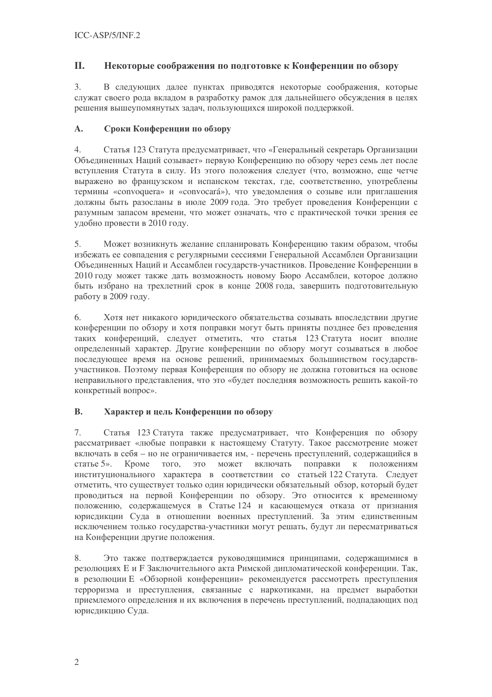#### II. Некоторые соображения по подготовке к Конференции по обзору

 $3.$ В следующих далее пунктах приводятся некоторые соображения, которые служат своего рода вкладом в разработку рамок для дальнейшего обсуждения в целях решения вышеупомянутых задач, пользующихся широкой поддержкой.

#### $\mathbf{A}$ . Сроки Конференции по обзору

 $\overline{4}$ . Статья 123 Статута предусматривает, что «Генеральный секретарь Организации Объединенных Наций созывает» первую Конференцию по обзору через семь лет после вступления Статута в силу. Из этого положения следует (что, возможно, еще четче выражено во французском и испанском текстах, где, соответственно, употреблены термины «convoquera» и «convocará»), что уведомления о созыве или приглашения лолжны быть разосланы в июле 2009 года. Это требует проведения Конференции с разумным запасом времени, что может означать, что с практической точки зрения ее удобно провести в 2010 году.

 $5<sub>1</sub>$ Может возникнуть желание спланировать Конференцию таким образом, чтобы избежать ее совпадения с регулярными сессиями Генеральной Ассамблеи Организации Объединенных Наций и Ассамблеи государств-участников. Проведение Конференции в 2010 году может также дать возможность новому Бюро Ассамблеи, которое должно быть избрано на трехлетний срок в конце 2008 года, завершить подготовительную работу в 2009 году.

Хотя нет никакого юридического обязательства созывать впоследствии другие 6. конференции по обзору и хотя поправки могут быть приняты позднее без проведения таких конференций, следует отметить, что статья 123 Статута носит вполне определенный характер. Другие конференции по обзору могут созываться в любое последующее время на основе решений, принимаемых большинством государствучастников. Поэтому первая Конференция по обзору не должна готовиться на основе неправильного представления, что это «будет последняя возможность решить какой-то конкретный вопрос».

#### **B.** Характер и цель Конференции по обзору

 $7.$ Статья 123 Статута также предусматривает, что Конференция по обзору рассматривает «любые поправки к настоящему Статуту. Такое рассмотрение может включать в себя - но не ограничивается им, - перечень преступлений, содержащийся в статье 5». Кроме того, это может включать поправки  $\,$  K положениям институционального характера в соответствии со статьей 122 Статута. Следует отметить, что существует только один юридически обязательный обзор, который будет проводиться на первой Конференции по обзору. Это относится к временному положению, содержащемуся в Статье 124 и касающемуся отказа от признания юрисдикции Суда в отношении военных преступлений. За этим единственным исключением только государства-участники могут решать, будут ли пересматриваться на Конференции другие положения.

Это также подтверждается руководящимися принципами, содержащимися в 8. резолюциях Е и F Заключительного акта Римской дипломатической конференции. Так, в резолюции Е «Обзорной конференции» рекомендуется рассмотреть преступления терроризма и преступления, связанные с наркотиками, на предмет выработки приемлемого определения и их включения в перечень преступлений, подпадающих под юрисдикцию Суда.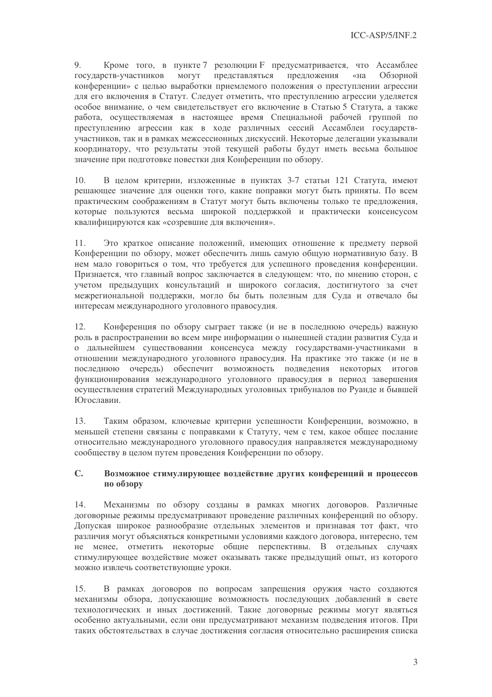9. Кроме того, в пункте 7 резолюции F предусматривается, что Ассамблее государств-участников МОГУТ представляться предложения  $\kappa$ на Обзорной конференции» с целью выработки приемлемого положения о преступлении агрессии для его включения в Статут. Следует отметить, что преступлению агрессии уделяется особое внимание, о чем свидетельствует его включение в Статью 5 Статута, а также работа, осуществляемая в настоящее время Специальной рабочей группой по преступлению агрессии как в ходе различных сессий Ассамблеи государствучастников, так и в рамках межсессионных дискуссий. Некоторые делегации указывали координатору, что результаты этой текущей работы будут иметь весьма большое значение при подготовке повестки дня Конференции по обзору.

В целом критерии, изложенные в пунктах 3-7 статьи 121 Статута, имеют  $10.$ решающее значение для оценки того, какие поправки могут быть приняты. По всем практическим соображениям в Статут могут быть включены только те предложения, которые пользуются весьма широкой поддержкой и практически консенсусом квалифицируются как «созревшие для включения».

Это краткое описание положений, имеющих отношение к предмету первой  $11.$ Конференции по обзору, может обеспечить лишь самую общую нормативную базу. В нем мало говориться о том, что требуется для успешного проведения конференции. Признается, что главный вопрос заключается в следующем: что, по мнению сторон, с учетом предыдущих консультаций и широкого согласия, достигнутого за счет межрегиональной поддержки, могло бы быть полезным для Суда и отвечало бы интересам международного уголовного правосудия.

Конференция по обзору сыграет также (и не в последнюю очередь) важную  $12.$ роль в распространении во всем мире информации о нынешней стадии развития Суда и о дальнейшем существовании консенсуса между государствами-участниками в отношении международного уголовного правосудия. На практике это также (и не в последнюю очередь) обеспечит возможность подведения некоторых итогов функционирования международного уголовного правосудия в период завершения осуществления стратегий Международных уголовных трибуналов по Руанде и бывшей Югославии.

Таким образом, ключевые критерии успешности Конференции, возможно, в 13. меньшей степени связаны с поправками к Статуту, чем с тем, какое общее послание относительно международного уголовного правосудия направляется международному сообществу в целом путем проведения Конференции по обзору.

### $C_{\bullet}$ Возможное стимулирующее воздействие других конференций и процессов по обзору

Механизмы по обзору созданы в рамках многих договоров. Различные  $14$ договорные режимы предусматривают проведение различных конференций по обзору. Допуская широкое разнообразие отдельных элементов и признавая тот факт, что различия могут объясняться конкретными условиями каждого договора, интересно, тем не менее, отметить некоторые общие перспективы. В отдельных случаях стимулирующее воздействие может оказывать также предыдущий опыт, из которого можно извлечь соответствующие уроки.

В рамках договоров по вопросам запрещения оружия часто создаются  $15.$ механизмы обзора, допускающие возможность последующих добавлений в свете технологических и иных достижений. Такие договорные режимы могут являться особенно актуальными, если они предусматривают механизм подведения итогов. При таких обстоятельствах в случае достижения согласия относительно расширения списка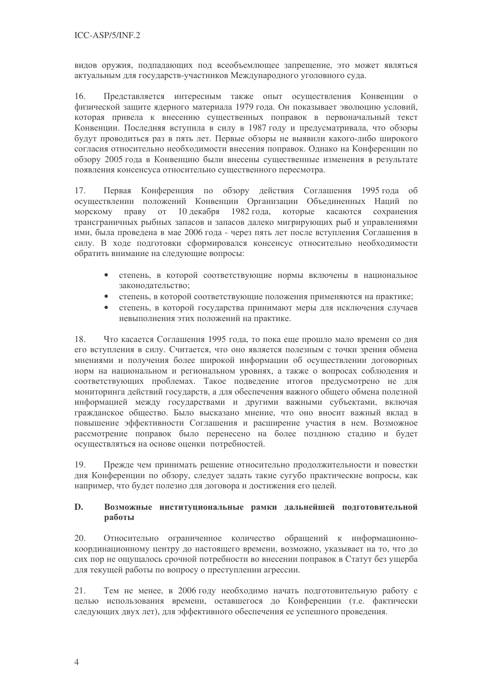видов оружия, подпадающих под всеобъемлющее запрещение, это может являться актуальным для государств-участников Международного уголовного суда.

16. Представляется интересным также опыт осуществления Конвенции о физической защите ядерного материала 1979 года. Он показывает эволюцию условий, которая привела к внесению существенных поправок в первоначальный текст Конвенции. Последняя вступила в силу в 1987 году и предусматривала, что обзоры будут проводиться раз в пять лет. Первые обзоры не выявили какого-либо широкого согласия относительно необходимости внесения поправок. Однако на Конференции по обзору 2005 года в Конвенцию были внесены существенные изменения в результате появления консенсуса относительно существенного пересмотра.

17. Первая Конференция по обзору действия Соглашения 1995 года об осуществлении положений Конвенции Организации Объединенных Наций по морскому праву от 10 декабря 1982 года, которые касаются сохранения трансграничных рыбных запасов и запасов далеко мигрирующих рыб и управлениями ими, была проведена в мае 2006 года - через пять лет после вступления Соглашения в силу. В ходе подготовки сформировался консенсус относительно необходимости обратить внимание на следующие вопросы:

- степень, в которой соответствующие нормы включены в национальное законодательство;
- степень, в которой соответствующие положения применяются на практике:
- степень, в которой государства принимают меры для исключения случаев невыполнения этих положений на практике.

Что касается Соглашения 1995 года, то пока еще прошло мало времени со дня 18. его вступления в силу. Считается, что оно является полезным с точки зрения обмена мнениями и получения более широкой информации об осуществлении договорных норм на национальном и региональном уровнях, а также о вопросах соблюдения и соответствующих проблемах. Такое подведение итогов предусмотрено не для мониторинга действий государств, а для обеспечения важного общего обмена полезной информацией между государствами и другими важными субъектами, включая гражданское общество. Было высказано мнение, что оно вносит важный вклад в повышение эффективности Соглашения и расширение участия в нем. Возможное рассмотрение поправок было перенесено на более позднюю стадию и будет осуществляться на основе оценки потребностей.

19. Прежде чем принимать решение относительно продолжительности и повестки дня Конференции по обзору, следует задать такие сугубо практические вопросы, как например, что будет полезно для договора и достижения его целей.

### D. Возможные институциональные рамки дальнейшей подготовительной работы

Относительно ограниченное количество обращений к информационно-20. координационному центру до настоящего времени, возможно, указывает на то, что до сих пор не ощущалось срочной потребности во внесении поправок в Статут без ущерба для текущей работы по вопросу о преступлении агрессии.

21. Тем не менее, в 2006 году необходимо начать подготовительную работу с целью использования времени, оставшегося до Конференции (т.е. фактически следующих двух лет), для эффективного обеспечения ее успешного проведения.